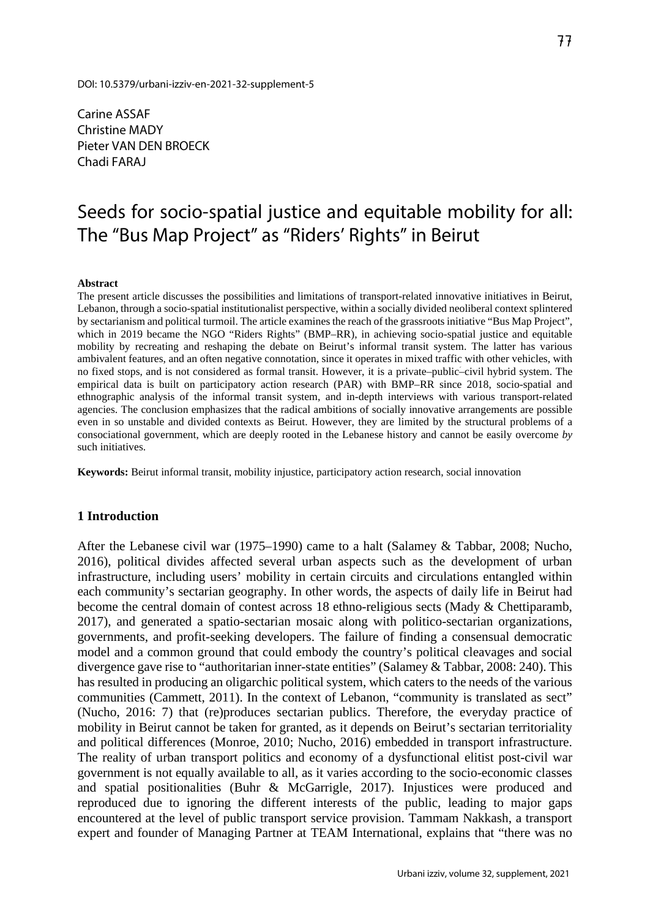Carine ASSAF Christine MADY Pieter VAN DEN BROECK Chadi FARAJ

# Seeds for socio-spatial justice and equitable mobility for all: The "Bus Map Project" as "Riders' Rights" in Beirut

#### **Abstract**

The present article discusses the possibilities and limitations of transport-related innovative initiatives in Beirut, Lebanon, through a socio-spatial institutionalist perspective, within a socially divided neoliberal context splintered by sectarianism and political turmoil. The article examines the reach of the grassroots initiative "Bus Map Project", which in 2019 became the NGO "Riders Rights" (BMP–RR), in achieving socio-spatial justice and equitable mobility by recreating and reshaping the debate on Beirut's informal transit system. The latter has various ambivalent features, and an often negative connotation, since it operates in mixed traffic with other vehicles, with no fixed stops, and is not considered as formal transit. However, it is a private–public–civil hybrid system. The empirical data is built on participatory action research (PAR) with BMP–RR since 2018, socio-spatial and ethnographic analysis of the informal transit system, and in-depth interviews with various transport-related agencies. The conclusion emphasizes that the radical ambitions of socially innovative arrangements are possible even in so unstable and divided contexts as Beirut. However, they are limited by the structural problems of a consociational government, which are deeply rooted in the Lebanese history and cannot be easily overcome *by*  such initiatives.

**Keywords:** Beirut informal transit, mobility injustice, participatory action research, social innovation

#### **1 Introduction**

After the Lebanese civil war (1975–1990) came to a halt (Salamey & Tabbar, 2008; Nucho, 2016), political divides affected several urban aspects such as the development of urban infrastructure, including users' mobility in certain circuits and circulations entangled within each community's sectarian geography. In other words, the aspects of daily life in Beirut had become the central domain of contest across 18 ethno-religious sects (Mady & Chettiparamb, 2017), and generated a spatio-sectarian mosaic along with politico-sectarian organizations, governments, and profit-seeking developers. The failure of finding a consensual democratic model and a common ground that could embody the country's political cleavages and social divergence gave rise to "authoritarian inner-state entities" (Salamey & Tabbar, 2008: 240). This has resulted in producing an oligarchic political system, which caters to the needs of the various communities (Cammett, 2011). In the context of Lebanon, "community is translated as sect" (Nucho, 2016: 7) that (re)produces sectarian publics. Therefore, the everyday practice of mobility in Beirut cannot be taken for granted, as it depends on Beirut's sectarian territoriality and political differences (Monroe, 2010; Nucho, 2016) embedded in transport infrastructure. The reality of urban transport politics and economy of a dysfunctional elitist post-civil war government is not equally available to all, as it varies according to the socio-economic classes and spatial positionalities (Buhr & McGarrigle, 2017). Injustices were produced and reproduced due to ignoring the different interests of the public, leading to major gaps encountered at the level of public transport service provision. Tammam Nakkash, a transport expert and founder of Managing Partner at TEAM International, explains that "there was no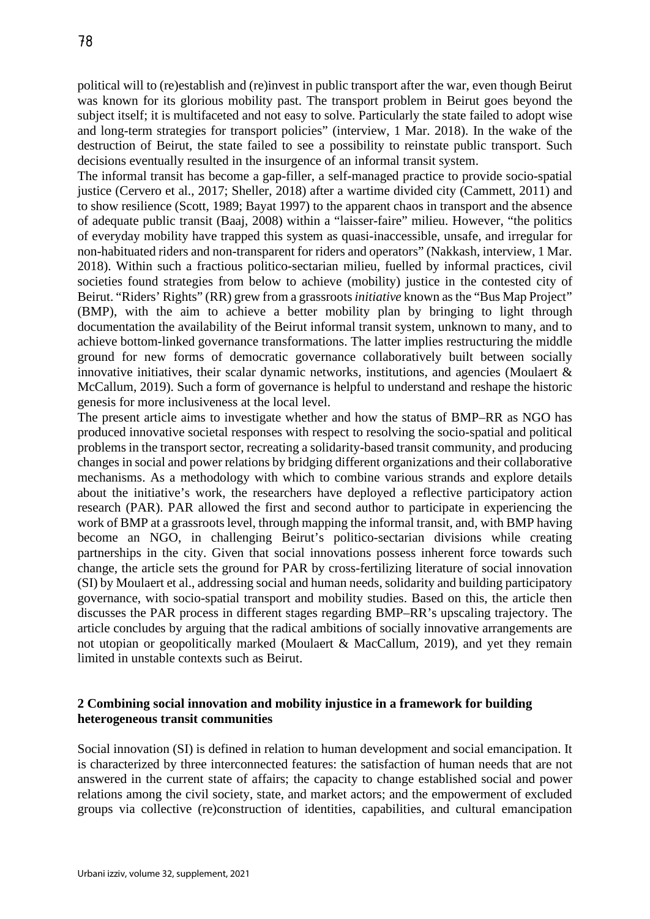political will to (re)establish and (re)invest in public transport after the war, even though Beirut was known for its glorious mobility past. The transport problem in Beirut goes beyond the subject itself; it is multifaceted and not easy to solve. Particularly the state failed to adopt wise and long-term strategies for transport policies" (interview, 1 Mar. 2018). In the wake of the destruction of Beirut, the state failed to see a possibility to reinstate public transport. Such decisions eventually resulted in the insurgence of an informal transit system.

The informal transit has become a gap-filler, a self-managed practice to provide socio-spatial justice (Cervero et al., 2017; Sheller, 2018) after a wartime divided city (Cammett, 2011) and to show resilience (Scott, 1989; Bayat 1997) to the apparent chaos in transport and the absence of adequate public transit (Baaj, 2008) within a "laisser-faire" milieu. However, "the politics of everyday mobility have trapped this system as quasi-inaccessible, unsafe, and irregular for non-habituated riders and non-transparent for riders and operators" (Nakkash, interview, 1 Mar. 2018). Within such a fractious politico-sectarian milieu, fuelled by informal practices, civil societies found strategies from below to achieve (mobility) justice in the contested city of Beirut. "Riders' Rights" (RR) grew from a grassroots*initiative* known as the "Bus Map Project" (BMP), with the aim to achieve a better mobility plan by bringing to light through documentation the availability of the Beirut informal transit system, unknown to many, and to achieve bottom-linked governance transformations. The latter implies restructuring the middle ground for new forms of democratic governance collaboratively built between socially innovative initiatives, their scalar dynamic networks, institutions, and agencies (Moulaert & McCallum, 2019). Such a form of governance is helpful to understand and reshape the historic genesis for more inclusiveness at the local level.

The present article aims to investigate whether and how the status of BMP–RR as NGO has produced innovative societal responses with respect to resolving the socio-spatial and political problems in the transport sector, recreating a solidarity-based transit community, and producing changes in social and power relations by bridging different organizations and their collaborative mechanisms. As a methodology with which to combine various strands and explore details about the initiative's work, the researchers have deployed a reflective participatory action research (PAR). PAR allowed the first and second author to participate in experiencing the work of BMP at a grassroots level, through mapping the informal transit, and, with BMP having become an NGO, in challenging Beirut's politico-sectarian divisions while creating partnerships in the city. Given that social innovations possess inherent force towards such change, the article sets the ground for PAR by cross-fertilizing literature of social innovation (SI) by Moulaert et al., addressing social and human needs, solidarity and building participatory governance, with socio-spatial transport and mobility studies. Based on this, the article then discusses the PAR process in different stages regarding BMP–RR's upscaling trajectory. The article concludes by arguing that the radical ambitions of socially innovative arrangements are not utopian or geopolitically marked (Moulaert & MacCallum, 2019), and yet they remain limited in unstable contexts such as Beirut.

# **2 Combining social innovation and mobility injustice in a framework for building heterogeneous transit communities**

Social innovation (SI) is defined in relation to human development and social emancipation. It is characterized by three interconnected features: the satisfaction of human needs that are not answered in the current state of affairs; the capacity to change established social and power relations among the civil society, state, and market actors; and the empowerment of excluded groups via collective (re)construction of identities, capabilities, and cultural emancipation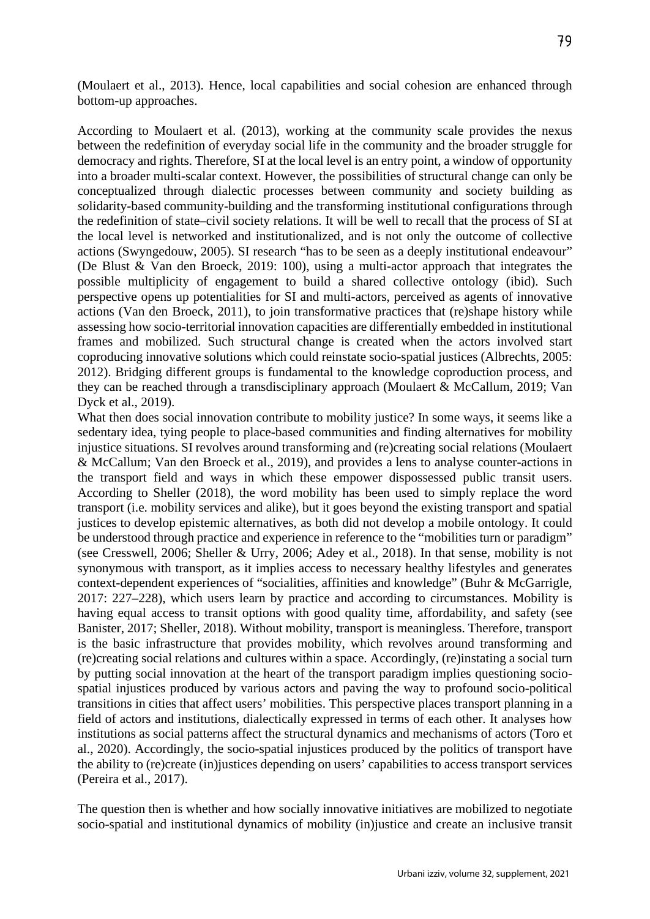(Moulaert et al., 2013). Hence, local capabilities and social cohesion are enhanced through bottom-up approaches.

According to Moulaert et al. (2013), working at the community scale provides the nexus between the redefinition of everyday social life in the community and the broader struggle for democracy and rights. Therefore, SI at the local level is an entry point, a window of opportunity into a broader multi-scalar context. However, the possibilities of structural change can only be conceptualized through dialectic processes between community and society building as *so*lidarity-based community-building and the transforming institutional configurations through the redefinition of state–civil society relations. It will be well to recall that the process of SI at the local level is networked and institutionalized, and is not only the outcome of collective actions (Swyngedouw, 2005). SI research "has to be seen as a deeply institutional endeavour" (De Blust & Van den Broeck, 2019: 100), using a multi-actor approach that integrates the possible multiplicity of engagement to build a shared collective ontology (ibid). Such perspective opens up potentialities for SI and multi-actors, perceived as agents of innovative actions (Van den Broeck, 2011), to join transformative practices that (re)shape history while assessing how socio-territorial innovation capacities are differentially embedded in institutional frames and mobilized. Such structural change is created when the actors involved start coproducing innovative solutions which could reinstate socio-spatial justices (Albrechts, 2005: 2012). Bridging different groups is fundamental to the knowledge coproduction process, and they can be reached through a transdisciplinary approach (Moulaert & McCallum, 2019; Van Dyck et al., 2019).

What then does social innovation contribute to mobility justice? In some ways, it seems like a sedentary idea, tying people to place-based communities and finding alternatives for mobility injustice situations. SI revolves around transforming and (re)creating social relations (Moulaert & McCallum; Van den Broeck et al., 2019), and provides a lens to analyse counter-actions in the transport field and ways in which these empower dispossessed public transit users. According to Sheller (2018), the word mobility has been used to simply replace the word transport (i.e. mobility services and alike), but it goes beyond the existing transport and spatial justices to develop epistemic alternatives, as both did not develop a mobile ontology. It could be understood through practice and experience in reference to the "mobilities turn or paradigm" (see Cresswell, 2006; Sheller & Urry, 2006; Adey et al., 2018). In that sense, mobility is not synonymous with transport, as it implies access to necessary healthy lifestyles and generates context-dependent experiences of "socialities, affinities and knowledge" (Buhr & McGarrigle, 2017: 227–228), which users learn by practice and according to circumstances. Mobility is having equal access to transit options with good quality time, affordability, and safety (see Banister, 2017; Sheller, 2018). Without mobility, transport is meaningless. Therefore, transport is the basic infrastructure that provides mobility, which revolves around transforming and (re)creating social relations and cultures within a space. Accordingly, (re)instating a social turn by putting social innovation at the heart of the transport paradigm implies questioning sociospatial injustices produced by various actors and paving the way to profound socio-political transitions in cities that affect users' mobilities. This perspective places transport planning in a field of actors and institutions, dialectically expressed in terms of each other. It analyses how institutions as social patterns affect the structural dynamics and mechanisms of actors (Toro et al., 2020). Accordingly, the socio-spatial injustices produced by the politics of transport have the ability to (re)create (in)justices depending on users' capabilities to access transport services (Pereira et al., 2017).

The question then is whether and how socially innovative initiatives are mobilized to negotiate socio-spatial and institutional dynamics of mobility (in)justice and create an inclusive transit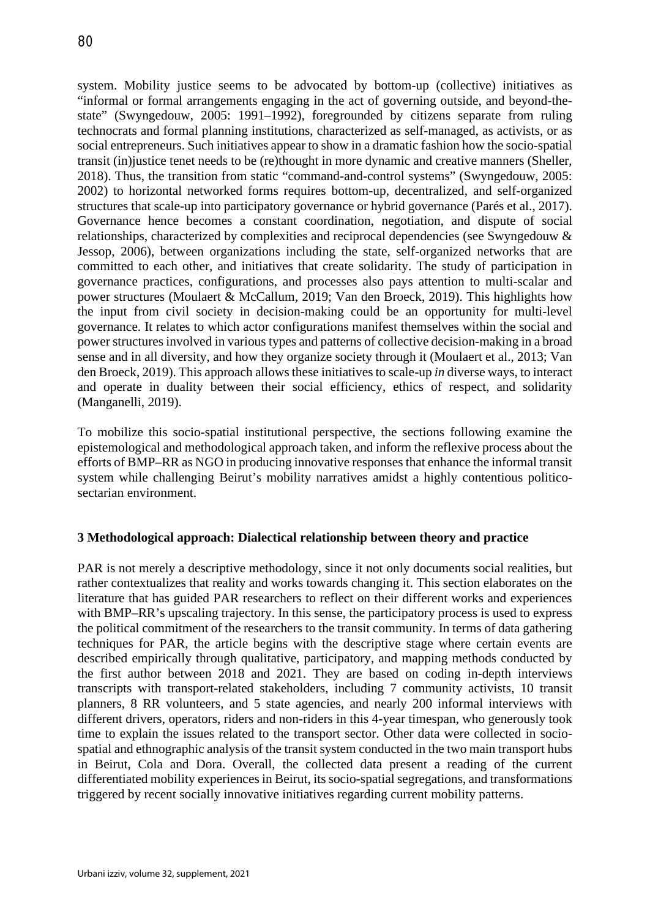system. Mobility justice seems to be advocated by bottom-up (collective) initiatives as "informal or formal arrangements engaging in the act of governing outside, and beyond-thestate" (Swyngedouw, 2005: 1991–1992), foregrounded by citizens separate from ruling technocrats and formal planning institutions, characterized as self-managed, as activists, or as social entrepreneurs. Such initiatives appear to show in a dramatic fashion how the socio-spatial transit (in)justice tenet needs to be (re)thought in more dynamic and creative manners (Sheller, 2018). Thus, the transition from static "command-and-control systems" (Swyngedouw, 2005: 2002) to horizontal networked forms requires bottom-up, decentralized, and self-organized structures that scale-up into participatory governance or hybrid governance (Parés et al., 2017). Governance hence becomes a constant coordination, negotiation, and dispute of social relationships, characterized by complexities and reciprocal dependencies (see Swyngedouw & Jessop, 2006), between organizations including the state, self-organized networks that are committed to each other, and initiatives that create solidarity. The study of participation in governance practices, configurations, and processes also pays attention to multi-scalar and power structures (Moulaert & McCallum, 2019; Van den Broeck, 2019). This highlights how the input from civil society in decision-making could be an opportunity for multi-level governance. It relates to which actor configurations manifest themselves within the social and power structures involved in various types and patterns of collective decision-making in a broad sense and in all diversity, and how they organize society through it (Moulaert et al., 2013; Van den Broeck, 2019). This approach allows these initiatives to scale-up *in* diverse ways, to interact and operate in duality between their social efficiency, ethics of respect, and solidarity (Manganelli, 2019).

To mobilize this socio-spatial institutional perspective, the sections following examine the epistemological and methodological approach taken, and inform the reflexive process about the efforts of BMP–RR as NGO in producing innovative responses that enhance the informal transit system while challenging Beirut's mobility narratives amidst a highly contentious politicosectarian environment.

### **3 Methodological approach: Dialectical relationship between theory and practice**

PAR is not merely a descriptive methodology, since it not only documents social realities, but rather contextualizes that reality and works towards changing it. This section elaborates on the literature that has guided PAR researchers to reflect on their different works and experiences with BMP–RR's upscaling trajectory. In this sense, the participatory process is used to express the political commitment of the researchers to the transit community. In terms of data gathering techniques for PAR, the article begins with the descriptive stage where certain events are described empirically through qualitative, participatory, and mapping methods conducted by the first author between 2018 and 2021. They are based on coding in-depth interviews transcripts with transport-related stakeholders, including 7 community activists, 10 transit planners, 8 RR volunteers, and 5 state agencies, and nearly 200 informal interviews with different drivers, operators, riders and non-riders in this 4-year timespan, who generously took time to explain the issues related to the transport sector. Other data were collected in sociospatial and ethnographic analysis of the transit system conducted in the two main transport hubs in Beirut, Cola and Dora. Overall, the collected data present a reading of the current differentiated mobility experiences in Beirut, its socio-spatial segregations, and transformations triggered by recent socially innovative initiatives regarding current mobility patterns.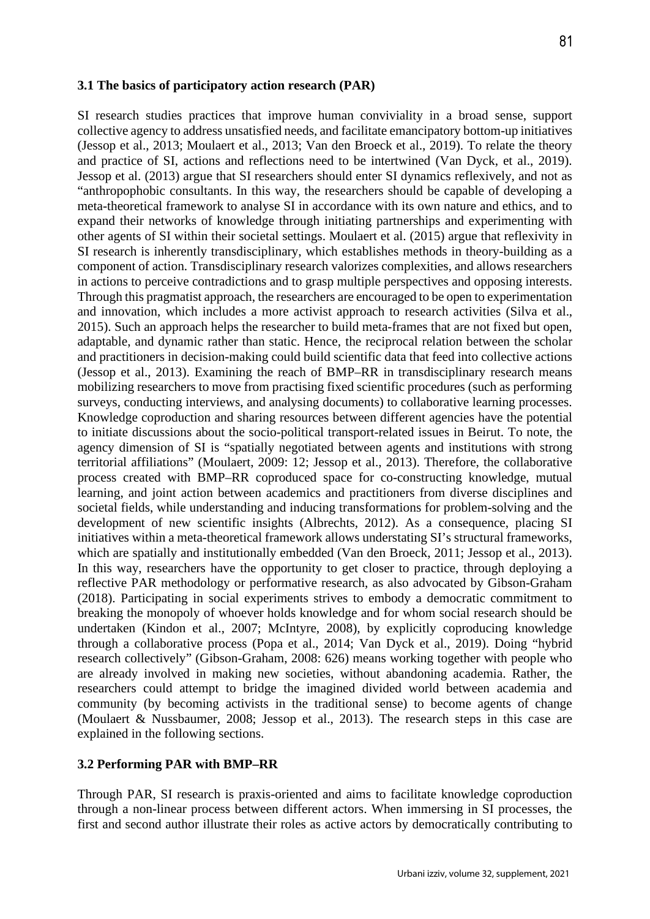#### **3.1 The basics of participatory action research (PAR)**

SI research studies practices that improve human conviviality in a broad sense, support collective agency to address unsatisfied needs, and facilitate emancipatory bottom-up initiatives (Jessop et al., 2013; Moulaert et al., 2013; Van den Broeck et al., 2019). To relate the theory and practice of SI, actions and reflections need to be intertwined (Van Dyck, et al., 2019). Jessop et al. (2013) argue that SI researchers should enter SI dynamics reflexively, and not as "anthropophobic consultants. In this way, the researchers should be capable of developing a meta-theoretical framework to analyse SI in accordance with its own nature and ethics, and to expand their networks of knowledge through initiating partnerships and experimenting with other agents of SI within their societal settings. Moulaert et al. (2015) argue that reflexivity in SI research is inherently transdisciplinary, which establishes methods in theory-building as a component of action. Transdisciplinary research valorizes complexities, and allows researchers in actions to perceive contradictions and to grasp multiple perspectives and opposing interests. Through this pragmatist approach, the researchers are encouraged to be open to experimentation and innovation, which includes a more activist approach to research activities (Silva et al., 2015). Such an approach helps the researcher to build meta-frames that are not fixed but open, adaptable, and dynamic rather than static. Hence, the reciprocal relation between the scholar and practitioners in decision-making could build scientific data that feed into collective actions (Jessop et al., 2013). Examining the reach of BMP–RR in transdisciplinary research means mobilizing researchers to move from practising fixed scientific procedures (such as performing surveys, conducting interviews, and analysing documents) to collaborative learning processes. Knowledge coproduction and sharing resources between different agencies have the potential to initiate discussions about the socio-political transport-related issues in Beirut. To note, the agency dimension of SI is "spatially negotiated between agents and institutions with strong territorial affiliations" (Moulaert, 2009: 12; Jessop et al., 2013). Therefore, the collaborative process created with BMP–RR coproduced space for co-constructing knowledge, mutual learning, and joint action between academics and practitioners from diverse disciplines and societal fields, while understanding and inducing transformations for problem-solving and the development of new scientific insights (Albrechts, 2012). As a consequence, placing SI initiatives within a meta-theoretical framework allows understating SI's structural frameworks, which are spatially and institutionally embedded (Van den Broeck, 2011; Jessop et al., 2013). In this way, researchers have the opportunity to get closer to practice, through deploying a reflective PAR methodology or performative research, as also advocated by Gibson-Graham (2018). Participating in social experiments strives to embody a democratic commitment to breaking the monopoly of whoever holds knowledge and for whom social research should be undertaken (Kindon et al., 2007; McIntyre, 2008), by explicitly coproducing knowledge through a collaborative process (Popa et al., 2014; Van Dyck et al., 2019). Doing "hybrid research collectively" (Gibson-Graham, 2008: 626) means working together with people who are already involved in making new societies, without abandoning academia. Rather, the researchers could attempt to bridge the imagined divided world between academia and community (by becoming activists in the traditional sense) to become agents of change (Moulaert & Nussbaumer, 2008; Jessop et al., 2013). The research steps in this case are explained in the following sections.

#### **3.2 Performing PAR with BMP–RR**

Through PAR, SI research is praxis-oriented and aims to facilitate knowledge coproduction through a non-linear process between different actors. When immersing in SI processes, the first and second author illustrate their roles as active actors by democratically contributing to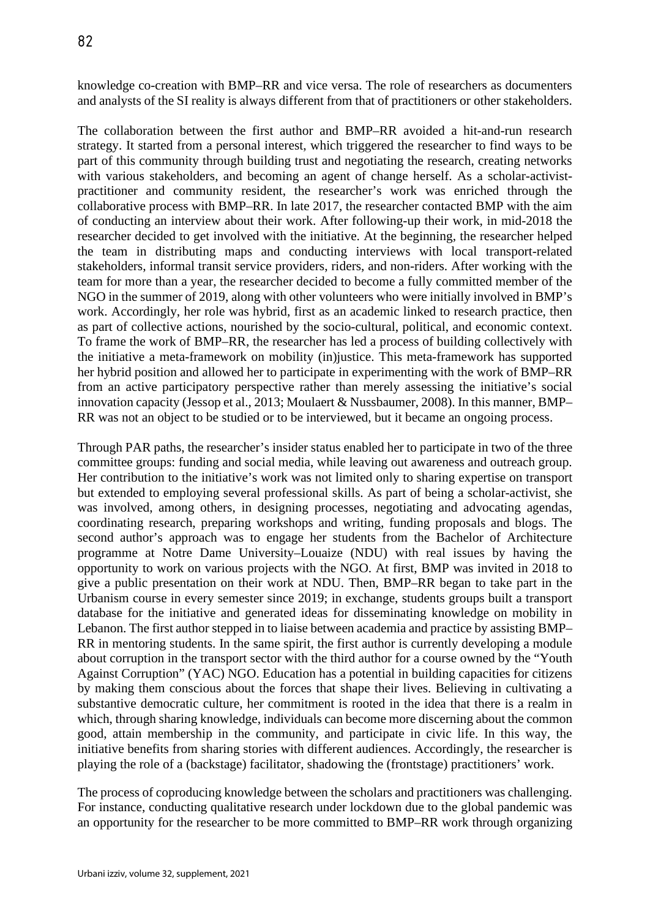knowledge co-creation with BMP–RR and vice versa. The role of researchers as documenters and analysts of the SI reality is always different from that of practitioners or other stakeholders.

The collaboration between the first author and BMP–RR avoided a hit-and-run research strategy. It started from a personal interest, which triggered the researcher to find ways to be part of this community through building trust and negotiating the research, creating networks with various stakeholders, and becoming an agent of change herself. As a scholar-activistpractitioner and community resident, the researcher's work was enriched through the collaborative process with BMP–RR. In late 2017, the researcher contacted BMP with the aim of conducting an interview about their work. After following-up their work, in mid-2018 the researcher decided to get involved with the initiative. At the beginning, the researcher helped the team in distributing maps and conducting interviews with local transport-related stakeholders, informal transit service providers, riders, and non-riders. After working with the team for more than a year, the researcher decided to become a fully committed member of the NGO in the summer of 2019, along with other volunteers who were initially involved in BMP's work. Accordingly, her role was hybrid, first as an academic linked to research practice, then as part of collective actions, nourished by the socio-cultural, political, and economic context. To frame the work of BMP–RR, the researcher has led a process of building collectively with the initiative a meta-framework on mobility (in)justice. This meta-framework has supported her hybrid position and allowed her to participate in experimenting with the work of BMP–RR from an active participatory perspective rather than merely assessing the initiative's social innovation capacity (Jessop et al., 2013; Moulaert & Nussbaumer, 2008). In this manner, BMP– RR was not an object to be studied or to be interviewed, but it became an ongoing process.

Through PAR paths, the researcher's insider status enabled her to participate in two of the three committee groups: funding and social media, while leaving out awareness and outreach group. Her contribution to the initiative's work was not limited only to sharing expertise on transport but extended to employing several professional skills. As part of being a scholar-activist, she was involved, among others, in designing processes, negotiating and advocating agendas, coordinating research, preparing workshops and writing, funding proposals and blogs. The second author's approach was to engage her students from the Bachelor of Architecture programme at Notre Dame University–Louaize (NDU) with real issues by having the opportunity to work on various projects with the NGO. At first, BMP was invited in 2018 to give a public presentation on their work at NDU. Then, BMP–RR began to take part in the Urbanism course in every semester since 2019; in exchange, students groups built a transport database for the initiative and generated ideas for disseminating knowledge on mobility in Lebanon. The first author stepped in to liaise between academia and practice by assisting BMP– RR in mentoring students. In the same spirit, the first author is currently developing a module about corruption in the transport sector with the third author for a course owned by the "Youth Against Corruption" (YAC) NGO. Education has a potential in building capacities for citizens by making them conscious about the forces that shape their lives. Believing in cultivating a substantive democratic culture, her commitment is rooted in the idea that there is a realm in which, through sharing knowledge, individuals can become more discerning about the common good, attain membership in the community, and participate in civic life. In this way, the initiative benefits from sharing stories with different audiences. Accordingly, the researcher is playing the role of a (backstage) facilitator, shadowing the (frontstage) practitioners' work.

The process of coproducing knowledge between the scholars and practitioners was challenging. For instance, conducting qualitative research under lockdown due to the global pandemic was an opportunity for the researcher to be more committed to BMP–RR work through organizing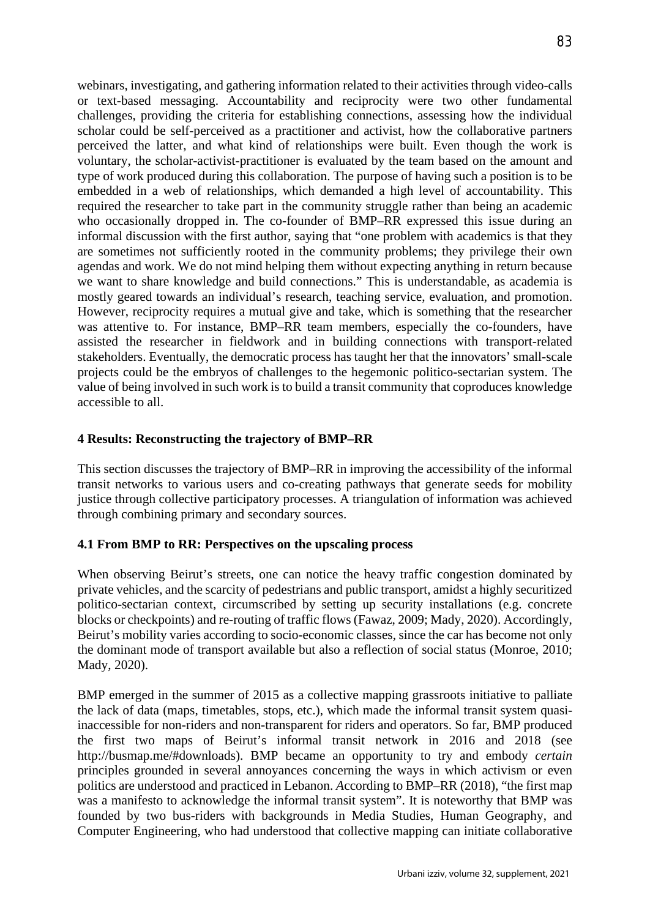webinars, investigating, and gathering information related to their activities through video-calls or text-based messaging. Accountability and reciprocity were two other fundamental challenges, providing the criteria for establishing connections, assessing how the individual scholar could be self-perceived as a practitioner and activist, how the collaborative partners perceived the latter, and what kind of relationships were built. Even though the work is voluntary, the scholar-activist-practitioner is evaluated by the team based on the amount and type of work produced during this collaboration. The purpose of having such a position is to be embedded in a web of relationships, which demanded a high level of accountability. This required the researcher to take part in the community struggle rather than being an academic who occasionally dropped in. The co-founder of BMP–RR expressed this issue during an informal discussion with the first author, saying that "one problem with academics is that they are sometimes not sufficiently rooted in the community problems; they privilege their own agendas and work. We do not mind helping them without expecting anything in return because we want to share knowledge and build connections." This is understandable, as academia is mostly geared towards an individual's research, teaching service, evaluation, and promotion. However, reciprocity requires a mutual give and take, which is something that the researcher was attentive to. For instance, BMP–RR team members, especially the co-founders, have assisted the researcher in fieldwork and in building connections with transport-related stakeholders. Eventually, the democratic process has taught her that the innovators' small-scale projects could be the embryos of challenges to the hegemonic politico-sectarian system. The value of being involved in such work is to build a transit community that coproduces knowledge accessible to all.

## **4 Results: Reconstructing the trajectory of BMP–RR**

This section discusses the trajectory of BMP–RR in improving the accessibility of the informal transit networks to various users and co-creating pathways that generate seeds for mobility justice through collective participatory processes. A triangulation of information was achieved through combining primary and secondary sources.

# **4.1 From BMP to RR: Perspectives on the upscaling process**

When observing Beirut's streets, one can notice the heavy traffic congestion dominated by private vehicles, and the scarcity of pedestrians and public transport, amidst a highly securitized politico-sectarian context, circumscribed by setting up security installations (e.g. concrete blocks or checkpoints) and re-routing of traffic flows (Fawaz, 2009; Mady, 2020). Accordingly, Beirut's mobility varies according to socio-economic classes, since the car has become not only the dominant mode of transport available but also a reflection of social status (Monroe, 2010; Mady, 2020).

BMP emerged in the summer of 2015 as a collective mapping grassroots initiative to palliate the lack of data (maps, timetables, stops, etc.), which made the informal transit system quasiinaccessible for non-riders and non-transparent for riders and operators. So far, BMP produced the first two maps of Beirut's informal transit network in 2016 and 2018 (see http://busmap.me/#downloads). BMP became an opportunity to try and embody *certain*  principles grounded in several annoyances concerning the ways in which activism or even politics are understood and practiced in Lebanon. *A*ccording to BMP–RR (2018), "the first map was a manifesto to acknowledge the informal transit system". It is noteworthy that BMP was founded by two bus-riders with backgrounds in Media Studies, Human Geography, and Computer Engineering, who had understood that collective mapping can initiate collaborative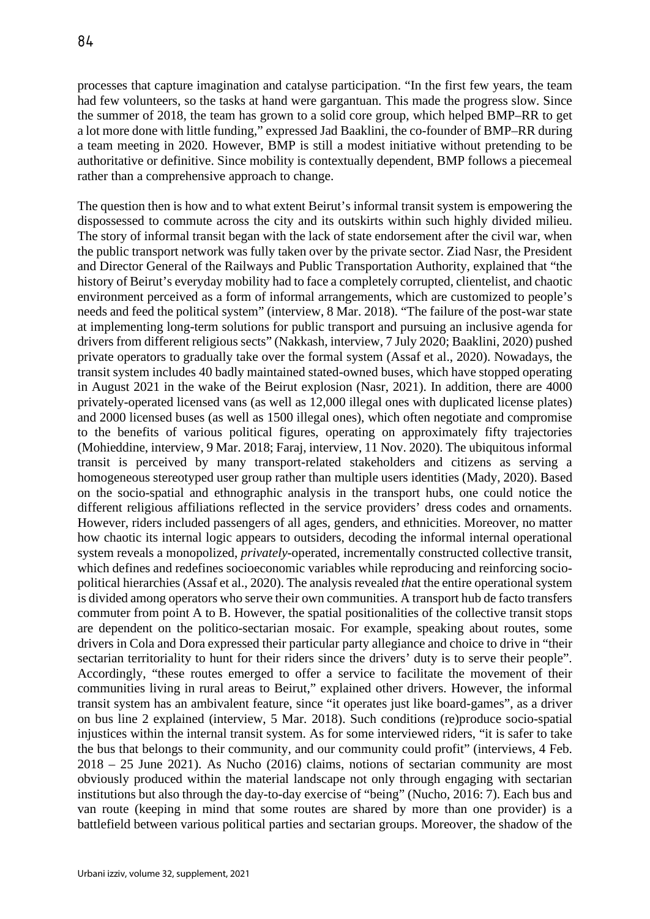processes that capture imagination and catalyse participation. "In the first few years, the team had few volunteers, so the tasks at hand were gargantuan. This made the progress slow. Since the summer of 2018, the team has grown to a solid core group, which helped BMP–RR to get a lot more done with little funding," expressed Jad Baaklini, the co-founder of BMP–RR during a team meeting in 2020. However, BMP is still a modest initiative without pretending to be authoritative or definitive. Since mobility is contextually dependent, BMP follows a piecemeal rather than a comprehensive approach to change.

The question then is how and to what extent Beirut's informal transit system is empowering the dispossessed to commute across the city and its outskirts within such highly divided milieu. The story of informal transit began with the lack of state endorsement after the civil war, when the public transport network was fully taken over by the private sector. Ziad Nasr, the President and Director General of the Railways and Public Transportation Authority, explained that "the history of Beirut's everyday mobility had to face a completely corrupted, clientelist, and chaotic environment perceived as a form of informal arrangements, which are customized to people's needs and feed the political system" (interview, 8 Mar. 2018). "The failure of the post-war state at implementing long-term solutions for public transport and pursuing an inclusive agenda for drivers from different religious sects" (Nakkash, interview, 7 July 2020; Baaklini, 2020) pushed private operators to gradually take over the formal system (Assaf et al., 2020). Nowadays, the transit system includes 40 badly maintained stated-owned buses, which have stopped operating in August 2021 in the wake of the Beirut explosion (Nasr, 2021). In addition, there are 4000 privately-operated licensed vans (as well as 12,000 illegal ones with duplicated license plates) and 2000 licensed buses (as well as 1500 illegal ones), which often negotiate and compromise to the benefits of various political figures, operating on approximately fifty trajectories (Mohieddine, interview, 9 Mar. 2018; Faraj, interview, 11 Nov. 2020). The ubiquitous informal transit is perceived by many transport-related stakeholders and citizens as serving a homogeneous stereotyped user group rather than multiple users identities (Mady, 2020). Based on the socio-spatial and ethnographic analysis in the transport hubs, one could notice the different religious affiliations reflected in the service providers' dress codes and ornaments. However, riders included passengers of all ages, genders, and ethnicities. Moreover, no matter how chaotic its internal logic appears to outsiders, decoding the informal internal operational system reveals a monopolized, *privately*-operated, incrementally constructed collective transit, which defines and redefines socioeconomic variables while reproducing and reinforcing sociopolitical hierarchies (Assaf et al., 2020). The analysis revealed *th*at the entire operational system is divided among operators who serve their own communities. A transport hub de facto transfers commuter from point A to B. However, the spatial positionalities of the collective transit stops are dependent on the politico-sectarian mosaic. For example, speaking about routes, some drivers in Cola and Dora expressed their particular party allegiance and choice to drive in "their sectarian territoriality to hunt for their riders since the drivers' duty is to serve their people". Accordingly, "these routes emerged to offer a service to facilitate the movement of their communities living in rural areas to Beirut," explained other drivers. However, the informal transit system has an ambivalent feature, since "it operates just like board-games", as a driver on bus line 2 explained (interview, 5 Mar. 2018). Such conditions (re)produce socio-spatial injustices within the internal transit system. As for some interviewed riders, "it is safer to take the bus that belongs to their community, and our community could profit" (interviews, 4 Feb. 2018 – 25 June 2021). As Nucho (2016) claims, notions of sectarian community are most obviously produced within the material landscape not only through engaging with sectarian institutions but also through the day-to-day exercise of "being" (Nucho, 2016: 7). Each bus and van route (keeping in mind that some routes are shared by more than one provider) is a battlefield between various political parties and sectarian groups. Moreover, the shadow of the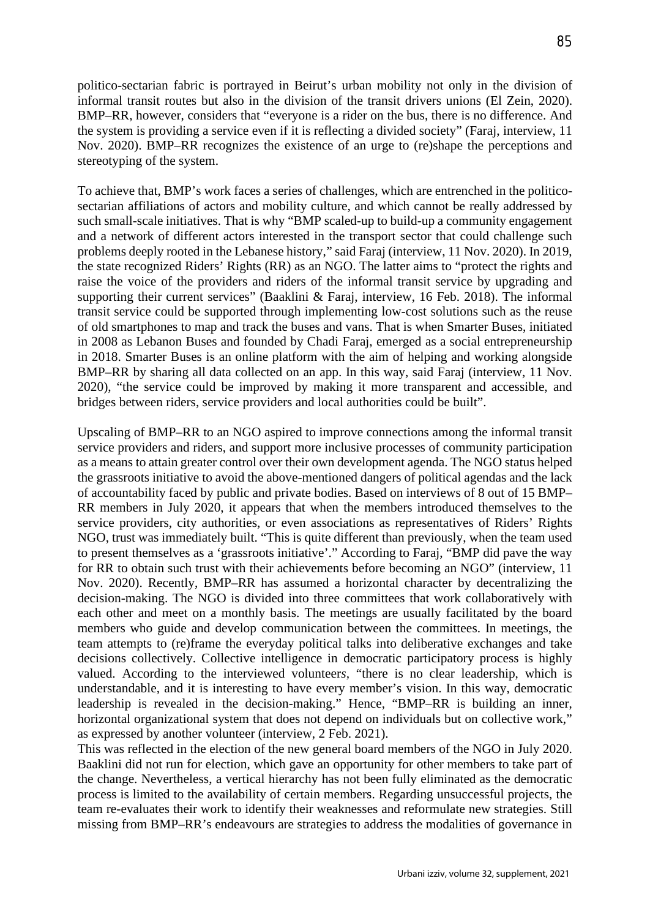politico-sectarian fabric is portrayed in Beirut's urban mobility not only in the division of informal transit routes but also in the division of the transit drivers unions (El Zein, 2020). BMP–RR, however, considers that "everyone is a rider on the bus, there is no difference. And the system is providing a service even if it is reflecting a divided society" (Faraj, interview, 11 Nov. 2020). BMP–RR recognizes the existence of an urge to (re)shape the perceptions and stereotyping of the system.

To achieve that, BMP's work faces a series of challenges, which are entrenched in the politicosectarian affiliations of actors and mobility culture, and which cannot be really addressed by such small-scale initiatives. That is why "BMP scaled-up to build-up a community engagement and a network of different actors interested in the transport sector that could challenge such problems deeply rooted in the Lebanese history," said Faraj (interview, 11 Nov. 2020). In 2019, the state recognized Riders' Rights (RR) as an NGO. The latter aims to "protect the rights and raise the voice of the providers and riders of the informal transit service by upgrading and supporting their current services" (Baaklini & Faraj, interview, 16 Feb. 2018). The informal transit service could be supported through implementing low-cost solutions such as the reuse of old smartphones to map and track the buses and vans. That is when Smarter Buses, initiated in 2008 as Lebanon Buses and founded by Chadi Faraj, emerged as a social entrepreneurship in 2018. Smarter Buses is an online platform with the aim of helping and working alongside BMP–RR by sharing all data collected on an app. In this way, said Faraj (interview, 11 Nov. 2020), "the service could be improved by making it more transparent and accessible, and bridges between riders, service providers and local authorities could be built".

Upscaling of BMP–RR to an NGO aspired to improve connections among the informal transit service providers and riders, and support more inclusive processes of community participation as a means to attain greater control over their own development agenda. The NGO status helped the grassroots initiative to avoid the above-mentioned dangers of political agendas and the lack of accountability faced by public and private bodies. Based on interviews of 8 out of 15 BMP– RR members in July 2020, it appears that when the members introduced themselves to the service providers, city authorities, or even associations as representatives of Riders' Rights NGO, trust was immediately built. "This is quite different than previously, when the team used to present themselves as a 'grassroots initiative'." According to Faraj, "BMP did pave the way for RR to obtain such trust with their achievements before becoming an NGO" (interview, 11 Nov. 2020). Recently, BMP–RR has assumed a horizontal character by decentralizing the decision-making. The NGO is divided into three committees that work collaboratively with each other and meet on a monthly basis. The meetings are usually facilitated by the board members who guide and develop communication between the committees. In meetings, the team attempts to (re)frame the everyday political talks into deliberative exchanges and take decisions collectively. Collective intelligence in democratic participatory process is highly valued. According to the interviewed volunteer*s,* "there is no clear leadership, which is understandable, and it is interesting to have every member's vision. In this way, democratic leadership is revealed in the decision-making." Hence, "BMP–RR is building an inner, horizontal organizational system that does not depend on individuals but on collective work," as expressed by another volunteer (interview, 2 Feb. 2021).

This was reflected in the election of the new general board members of the NGO in July 2020. Baaklini did not run for election, which gave an opportunity for other members to take part of the change. Nevertheless, a vertical hierarchy has not been fully eliminated as the democratic process is limited to the availability of certain members. Regarding unsuccessful projects, the team re-evaluates their work to identify their weaknesses and reformulate new strategies. Still missing from BMP–RR's endeavours are strategies to address the modalities of governance in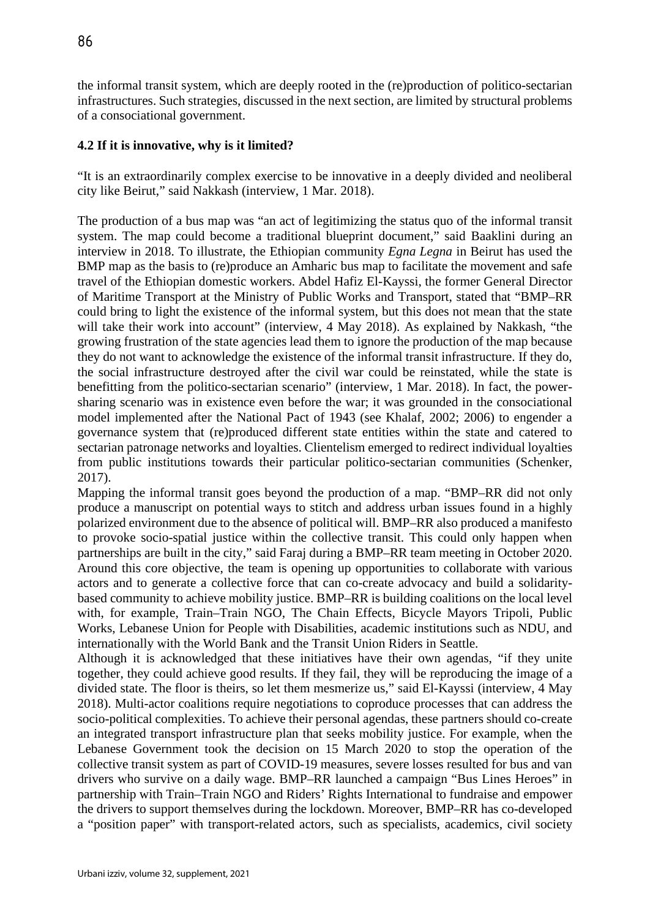the informal transit system, which are deeply rooted in the (re)production of politico-sectarian infrastructures. Such strategies, discussed in the next section, are limited by structural problems of a consociational government.

# **4.2 If it is innovative, why is it limited?**

"It is an extraordinarily complex exercise to be innovative in a deeply divided and neoliberal city like Beirut," said Nakkash (interview, 1 Mar. 2018).

The production of a bus map was "an act of legitimizing the status quo of the informal transit system. The map could become a traditional blueprint document," said Baaklini during an interview in 2018. To illustrate, the Ethiopian community *Egna Legna* in Beirut has used the BMP map as the basis to (re)produce an Amharic bus map to facilitate the movement and safe travel of the Ethiopian domestic workers. Abdel Hafiz El-Kayssi, the former General Director of Maritime Transport at the Ministry of Public Works and Transport, stated that "BMP–RR could bring to light the existence of the informal system, but this does not mean that the state will take their work into account" (interview, 4 May 2018). As explained by Nakkash, "the growing frustration of the state agencies lead them to ignore the production of the map because they do not want to acknowledge the existence of the informal transit infrastructure. If they do, the social infrastructure destroyed after the civil war could be reinstated, while the state is benefitting from the politico-sectarian scenario" (interview, 1 Mar. 2018). In fact, the powersharing scenario was in existence even before the war; it was grounded in the consociational model implemented after the National Pact of 1943 (see Khalaf, 2002; 2006) to engender a governance system that (re)produced different state entities within the state and catered to sectarian patronage networks and loyalties. Clientelism emerged to redirect individual loyalties from public institutions towards their particular politico-sectarian communities (Schenker, 2017).

Mapping the informal transit goes beyond the production of a map. "BMP–RR did not only produce a manuscript on potential ways to stitch and address urban issues found in a highly polarized environment due to the absence of political will. BMP–RR also produced a manifesto to provoke socio-spatial justice within the collective transit. This could only happen when partnerships are built in the city," said Faraj during a BMP–RR team meeting in October 2020. Around this core objective, the team is opening up opportunities to collaborate with various actors and to generate a collective force that can co-create advocacy and build a solidaritybased community to achieve mobility justice. BMP–RR is building coalitions on the local level with, for example, Train–Train NGO, The Chain Effects, Bicycle Mayors Tripoli, Public Works, Lebanese Union for People with Disabilities, academic institutions such as NDU, and internationally with the World Bank and the Transit Union Riders in Seattle.

Although it is acknowledged that these initiatives have their own agendas, "if they unite together, they could achieve good results. If they fail, they will be reproducing the image of a divided state. The floor is theirs, so let them mesmerize us," said El-Kayssi (interview, 4 May 2018). Multi-actor coalitions require negotiations to coproduce processes that can address the socio-political complexities. To achieve their personal agendas, these partners should co-create an integrated transport infrastructure plan that seeks mobility justice. For example, when the Lebanese Government took the decision on 15 March 2020 to stop the operation of the collective transit system as part of COVID-19 measures, severe losses resulted for bus and van drivers who survive on a daily wage. BMP–RR launched a campaign "Bus Lines Heroes" in partnership with Train–Train NGO and Riders' Rights International to fundraise and empower the drivers to support themselves during the lockdown. Moreover, BMP–RR has co-developed a "position paper" with transport-related actors, such as specialists, academics, civil society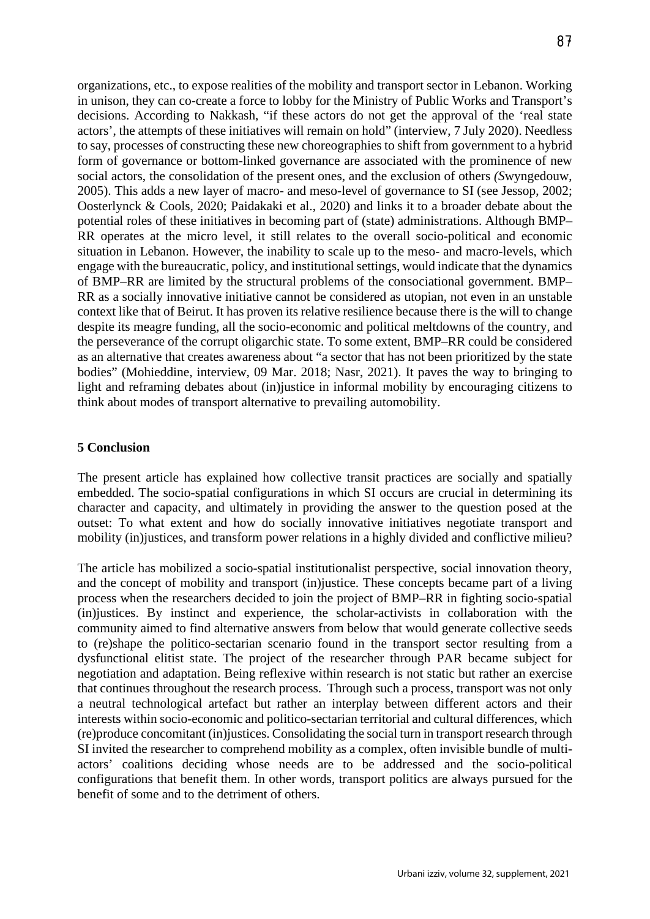organizations, etc., to expose realities of the mobility and transport sector in Lebanon. Working in unison, they can co-create a force to lobby for the Ministry of Public Works and Transport's decisions. According to Nakkash, "if these actors do not get the approval of the 'real state actors', the attempts of these initiatives will remain on hold" (interview, 7 July 2020). Needless to say, processes of constructing these new choreographies to shift from government to a hybrid form of governance or bottom-linked governance are associated with the prominence of new social actors, the consolidation of the present ones, and the exclusion of others *(S*wyngedouw, 2005). This adds a new layer of macro- and meso-level of governance to SI (see Jessop, 2002; Oosterlynck & Cools, 2020; Paidakaki et al., 2020) and links it to a broader debate about the potential roles of these initiatives in becoming part of (state) administrations. Although BMP– RR operates at the micro level, it still relates to the overall socio-political and economic situation in Lebanon. However, the inability to scale up to the meso- and macro-levels, which engage with the bureaucratic, policy, and institutional settings, would indicate that the dynamics of BMP–RR are limited by the structural problems of the consociational government. BMP– RR as a socially innovative initiative cannot be considered as utopian, not even in an unstable context like that of Beirut. It has proven its relative resilience because there is the will to change despite its meagre funding, all the socio-economic and political meltdowns of the country, and the perseverance of the corrupt oligarchic state. To some extent, BMP–RR could be considered as an alternative that creates awareness about "a sector that has not been prioritized by the state bodies" (Mohieddine, interview, 09 Mar. 2018; Nasr, 2021). It paves the way to bringing to light and reframing debates about (in)justice in informal mobility by encouraging citizens to think about modes of transport alternative to prevailing automobility.

### **5 Conclusion**

The present article has explained how collective transit practices are socially and spatially embedded. The socio-spatial configurations in which SI occurs are crucial in determining its character and capacity, and ultimately in providing the answer to the question posed at the outset: To what extent and how do socially innovative initiatives negotiate transport and mobility (in)justices, and transform power relations in a highly divided and conflictive milieu?

The article has mobilized a socio-spatial institutionalist perspective, social innovation theory, and the concept of mobility and transport (in)justice. These concepts became part of a living process when the researchers decided to join the project of BMP–RR in fighting socio-spatial (in)justices. By instinct and experience, the scholar-activists in collaboration with the community aimed to find alternative answers from below that would generate collective seeds to (re)shape the politico-sectarian scenario found in the transport sector resulting from a dysfunctional elitist state. The project of the researcher through PAR became subject for negotiation and adaptation. Being reflexive within research is not static but rather an exercise that continues throughout the research process. Through such a process, transport was not only a neutral technological artefact but rather an interplay between different actors and their interests within socio-economic and politico-sectarian territorial and cultural differences, which (re)produce concomitant (in)justices. Consolidating the social turn in transport research through SI invited the researcher to comprehend mobility as a complex, often invisible bundle of multiactors' coalitions deciding whose needs are to be addressed and the socio-political configurations that benefit them. In other words, transport politics are always pursued for the benefit of some and to the detriment of others.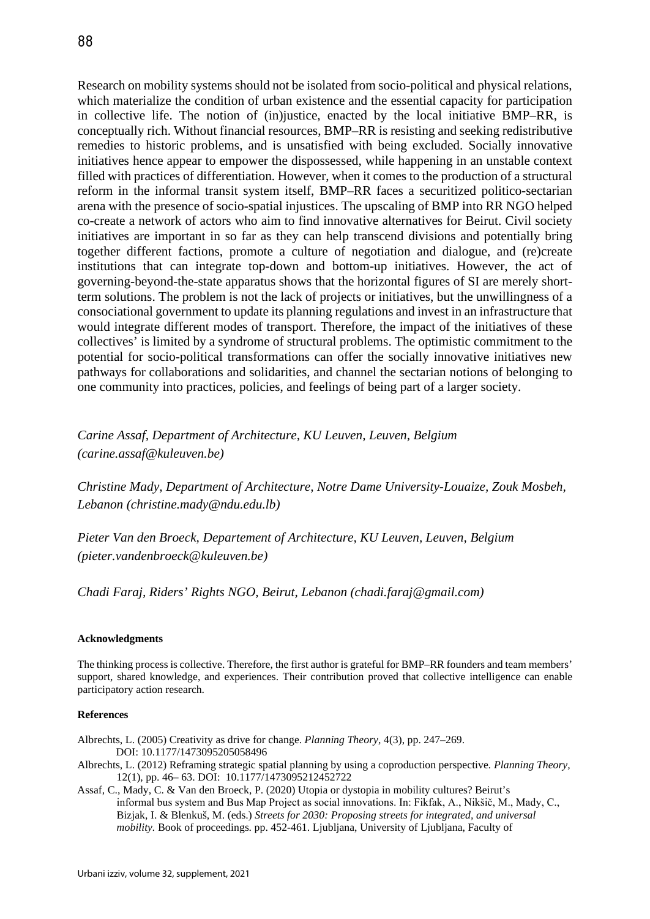Research on mobility systems should not be isolated from socio-political and physical relations, which materialize the condition of urban existence and the essential capacity for participation in collective life. The notion of (in)justice, enacted by the local initiative BMP–RR, is conceptually rich. Without financial resources, BMP–RR is resisting and seeking redistributive remedies to historic problems, and is unsatisfied with being excluded. Socially innovative initiatives hence appear to empower the dispossessed, while happening in an unstable context filled with practices of differentiation. However, when it comes to the production of a structural reform in the informal transit system itself, BMP–RR faces a securitized politico-sectarian arena with the presence of socio-spatial injustices. The upscaling of BMP into RR NGO helped co-create a network of actors who aim to find innovative alternatives for Beirut. Civil society initiatives are important in so far as they can help transcend divisions and potentially bring together different factions, promote a culture of negotiation and dialogue, and (re)create institutions that can integrate top-down and bottom-up initiatives. However, the act of governing-beyond-the-state apparatus shows that the horizontal figures of SI are merely shortterm solutions. The problem is not the lack of projects or initiatives, but the unwillingness of a consociational government to update its planning regulations and invest in an infrastructure that would integrate different modes of transport. Therefore, the impact of the initiatives of these collectives' is limited by a syndrome of structural problems. The optimistic commitment to the potential for socio-political transformations can offer the socially innovative initiatives new pathways for collaborations and solidarities, and channel the sectarian notions of belonging to one community into practices, policies, and feelings of being part of a larger society.

*Carine Assaf, Department of Architecture, KU Leuven, Leuven, Belgium (carine.assaf@kuleuven.be)*

*Christine Mady, Department of Architecture, Notre Dame University-Louaize, Zouk Mosbeh, Lebanon (christine.mady*@*ndu.edu.lb)*

*Pieter Van den Broeck, Departement of Architecture, KU Leuven, Leuven, Belgium (pieter.vandenbroeck@kuleuven.be)*

*Chadi Faraj, Riders' Rights NGO, Beirut, Lebanon (chadi.faraj@gmail.com)* 

#### **Acknowledgments**

The thinking process is collective. Therefore, the first author is grateful for BMP–RR founders and team members' support, shared knowledge, and experiences. Their contribution proved that collective intelligence can enable participatory action research.

#### **References**

Albrechts, L. (2005) Creativity as drive for change. *Planning Theory*, 4(3), pp. 247–269. DOI: 10.1177/1473095205058496

- Albrechts, L. (2012) Reframing strategic spatial planning by using a coproduction perspective*. Planning Theory,*  12(1), pp. 46– 63. DOI: 10.1177/1473095212452722
- Assaf, C., Mady, C. & Van den Broeck, P. (2020) Utopia or dystopia in mobility cultures? Beirut's informal bus system and Bus Map Project as social innovations. In: Fikfak, A., Nikšič, M., Mady, C., Bizjak, I. & Blenkuš, M. (eds.) *Streets for 2030: Proposing streets for integrated, and universal mobility.* Book of proceedings. pp. 452-461. Ljubljana, University of Ljubljana, Faculty of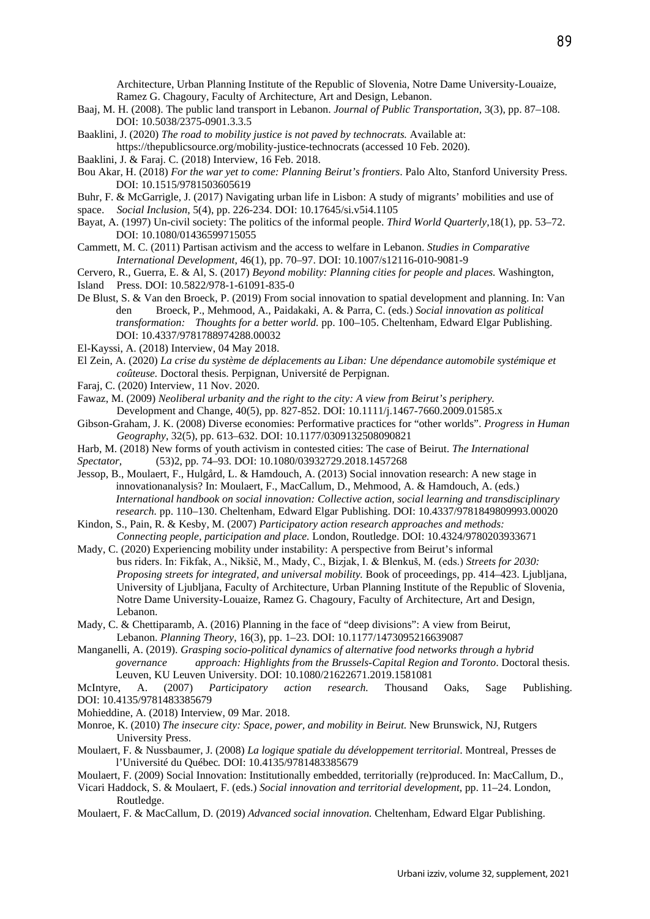Architecture, Urban Planning Institute of the Republic of Slovenia, Notre Dame University-Louaize, Ramez G. Chagoury, Faculty of Architecture, Art and Design, Lebanon.

Baaj, M. H. (2008). The public land transport in Lebanon. *Journal of Public Transportation,* 3(3), pp. 87–108. DOI: 10.5038/2375-0901.3.3.5

Baaklini, J. (2020) *The road to mobility justice is not paved by technocrats.* Available at:

https://thepublicsource.org/mobility-justice-technocrats (accessed 10 Feb. 2020).

- Baaklini, J. & Faraj. C. (2018) Interview, 16 Feb. 2018.
- Bou Akar, H. (2018) *For the war yet to come: Planning Beirut's frontiers*. Palo Alto, Stanford University Press. DOI: 10.1515/9781503605619
- Buhr, F. & McGarrigle, J. (2017) Navigating urban life in Lisbon: A study of migrants' mobilities and use of space. *Social Inclusion*, 5(4), pp. 226-234. DOI: 10.17645/si.v5i4.1105
- Bayat, A. (1997) Un-civil society: The politics of the informal people. *Third World Quarterly,*18(1), pp. 53–72. DOI: 10.1080/01436599715055
- Cammett, M. C. (2011) Partisan activism and the access to welfare in Lebanon. *Studies in Comparative International Development*, 46(1), pp. 70–97. DOI: 10.1007/s12116-010-9081-9

Cervero, R., Guerra, E. & Al, S. (2017) *Beyond mobility: Planning cities for people and places.* Washington, Island Press. DOI: 10.5822/978-1-61091-835-0

- De Blust, S. & Van den Broeck, P. (2019) From social innovation to spatial development and planning. In: Van den Broeck, P., Mehmood, A., Paidakaki, A. & Parra, C. (eds.) *Social innovation as political transformation: Thoughts for a better world.* pp. 100–105. Cheltenham, Edward Elgar Publishing. DOI: 10.4337/9781788974288.00032
- El-Kayssi, A. (2018) Interview, 04 May 2018.

El Zein, A. (2020) *La crise du système de déplacements au Liban: Une dépendance automobile systémique et coûteuse.* Doctoral thesis. Perpignan, Université de Perpignan.

Faraj, C. (2020) Interview, 11 Nov. 2020.

Fawaz, M. (2009) *Neoliberal urbanity and the right to the city: A view from Beirut's periphery.*  Development and Change, 40(5), pp. 827-852. DOI: 10.1111/j.1467-7660.2009.01585.x

- Gibson-Graham, J. K. (2008) Diverse economies: Performative practices for "other worlds". *Progress in Human Geography*, 32(5), pp. 613–632. DOI: 10.1177/0309132508090821
- Harb, M. (2018) New forms of youth activism in contested cities: The case of Beirut. *The International*

*Spectator,* (53)2, pp. 74–93. DOI: 10.1080/03932729.2018.1457268

Jessop, B., Moulaert, F., Hulgård, L. & Hamdouch, A. (2013) Social innovation research: A new stage in innovationanalysis? In: Moulaert, F., MacCallum, D., Mehmood, A. & Hamdouch, A. (eds.) *International handbook on social innovation: Collective action, social learning and transdisciplinary research.* pp. 110–130. Cheltenham, Edward Elgar Publishing. DOI: 10.4337/9781849809993.00020

Kindon, S., Pain, R. & Kesby, M. (2007) *Participatory action research approaches and methods: Connecting people, participation and place.* London, Routledge. DOI: 10.4324/9780203933671

Mady, C. (2020) Experiencing mobility under instability: A perspective from Beirut's informal bus riders. In: Fikfak, A., Nikšič, M., Mady, C., Bizjak, I. & Blenkuš, M. (eds.) *Streets for 2030: Proposing streets for integrated, and universal mobility.* Book of proceedings, pp. 414–423. Ljubljana, University of Ljubljana, Faculty of Architecture, Urban Planning Institute of the Republic of Slovenia, Notre Dame University-Louaize, Ramez G. Chagoury, Faculty of Architecture, Art and Design, Lebanon.

Mady, C. & Chettiparamb, A. (2016) Planning in the face of "deep divisions": A view from Beirut, Lebanon. *Planning Theory*, 16(3), pp. 1–23. DOI: 10.1177/1473095216639087

Manganelli, A. (2019). *Grasping socio-political dynamics of alternative food networks through a hybrid governance approach: Highlights from the Brussels-Capital Region and Toronto*. Doctoral thesis. Leuven, KU Leuven University. DOI: 10.1080/21622671.2019.1581081

McIntyre, A. (2007) *Participatory action research.* Thousand Oaks, Sage Publishing. DOI: 10.4135/9781483385679

Mohieddine, A. (2018) Interview, 09 Mar. 2018.

- Monroe, K. (2010) *The insecure city: Space, power, and mobility in Beirut.* New Brunswick, NJ, Rutgers University Press.
- Moulaert, F. & Nussbaumer, J. (2008) *La logique spatiale du développement territorial*. Montreal, Presses de l'Université du Québec*.* DOI: 10.4135/9781483385679

Moulaert, F. (2009) Social Innovation: Institutionally embedded, territorially (re)produced. In: MacCallum, D.,

Vicari Haddock, S. & Moulaert, F. (eds.) *Social innovation and territorial development*, pp. 11–24. London, Routledge.

Moulaert, F. & MacCallum, D. (2019) *Advanced social innovation.* Cheltenham, Edward Elgar Publishing.